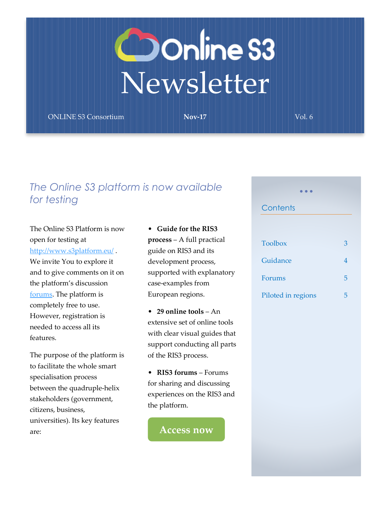# **Oonline S3**<br>Newsletter

ONLINE S3 Consortium **Nov-17** Vol. 6

### *The Online S3 platform is now available for testing*

#### The Online S3 Platform is now open for testing at

<http://www.s3platform.eu/> . We invite You to explore it and to give comments on it on the platform's discussion [forums.](http://www.s3platform.eu/forums) The platform is completely free to use. However, registration is needed to access all its features.

The purpose of the platform is to facilitate the whole smart specialisation process between the quadruple-helix stakeholders (government, citizens, business, universities). Its key features are:

#### • **Guide for the RIS3 process** – A full practical guide on RIS3 and its development process, supported with explanatory case-examples from European regions.

• **29 online tools** – An extensive set of online tools with clear visual guides that support conducting all parts of the RIS3 process.

• **RIS3 forums** – Forums for sharing and discussing experiences on the RIS3 and the platform.

**[Access now](http://www.s3platform.eu/)**

## **Contents** [Toolbox](#page-2-0) [3](#page-2-0) [Guidance](#page-3-0) [4](#page-3-0) [Forums](#page-4-0) [5](#page-4-0)

• • •

[Piloted in regions](#page-4-1) [5](#page-4-1)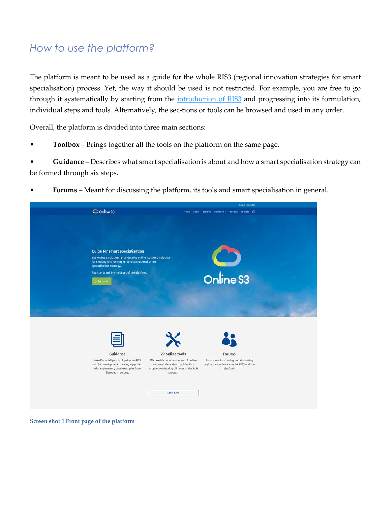#### *How to use the platform?*

The platform is meant to be used as a guide for the whole RIS3 (regional innovation strategies for smart specialisation) process. Yet, the way it should be used is not restricted. For example, you are free to go through it systematically by starting from the *introduction of RIS3* and progressing into its formulation, individual steps and tools. Alternatively, the sec-tions or tools can be browsed and used in any order.

Overall, the platform is divided into three main sections:

• **Toolbox** – Brings together all the tools on the platform on the same page.

• **Guidance** – Describes what smart specialisation is about and how a smart specialisation strategy can be formed through six steps.

• **Forums** – Meant for discussing the platform, its tools and smart specialisation in general.

|                                                                                                                                                                                                                                                         |                                                                                                                                                                             | Login Register                                                                                                  |  |
|---------------------------------------------------------------------------------------------------------------------------------------------------------------------------------------------------------------------------------------------------------|-----------------------------------------------------------------------------------------------------------------------------------------------------------------------------|-----------------------------------------------------------------------------------------------------------------|--|
| Conline S3                                                                                                                                                                                                                                              | Home                                                                                                                                                                        | About Toolbox Guidance $\sim$ Forums Contact $\Omega$                                                           |  |
| <b>Guide for smart specialisation</b><br>The Online S3 platform provides free online tools and guidance<br>for creating and revising a regional/national smart<br>specialisation strategy.<br>Register to get the most out of the platform.<br>Join now |                                                                                                                                                                             | Online S3                                                                                                       |  |
| Guidance<br>We offer a full practical guide on RIS3<br>and its development process, supported<br>with explanatory case-examples from<br>European regions.                                                                                               | 29 online tools<br>We provide an extensive set of online<br>tools and clear visual quides that<br>support conducting all parts of the RIS3<br>process.<br><b>Start here</b> | <b>Forums</b><br>Forums are for sharing and discussing<br>regional experiences on the RIS3 and the<br>platform. |  |

**Screen shot 1 Front page of the platform**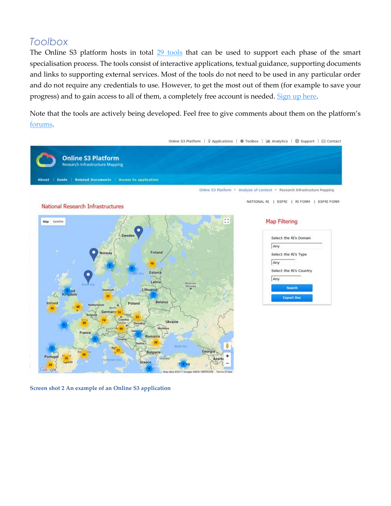#### <span id="page-2-0"></span>*Toolbox*

The Online S3 platform hosts in total [29 tools](http://www.s3platform.eu/applications/) that can be used to support each phase of the smart specialisation process. The tools consist of interactive applications, textual guidance, supporting documents and links to supporting external services. Most of the tools do not need to be used in any particular order and do not require any credentials to use. However, to get the most out of them (for example to save your progress) and to gain access to all of them, a completely free account is needed. [Sign up here.](http://www.s3platform.eu/wp-login.php?action=register)

Note that the tools are actively being developed. Feel free to give comments about them on the platform's [forums.](http://www.s3platform.eu/forums)



**Screen shot 2 An example of an Online S3 application**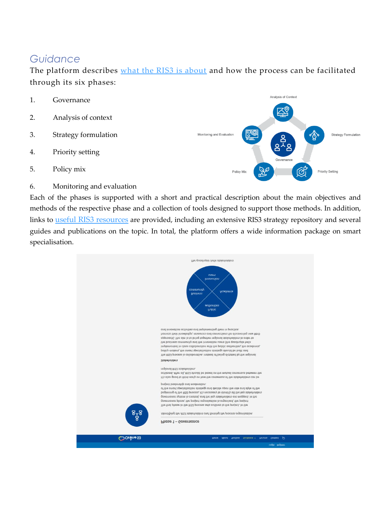#### <span id="page-3-0"></span>*Guidance*

The platform describes [what the RIS3 is about](http://www.s3platform.eu/what-is-ris3/) and how the process can be facilitated through its six phases:

- Analysis of Context 1. Governance 2. Analysis of context 3. Strategy formulation Monitoring and Evaluation Strategy Formulation ∕∆ 4. Priority setting 5. Policy mix Policy Mix Priority Setting
- 6. Monitoring and evaluation

Each of the phases is supported with a short and practical description about the main objectives and methods of the respective phase and a collection of tools designed to support those methods. In addition, links to [useful RIS3 resources](http://www.s3platform.eu/what-is-ris3/ris3-resources/) are provided, including an extensive RIS3 strategy repository and several guides and publications on the topic. In total, the platform offers a wide information package on smart specialisation.

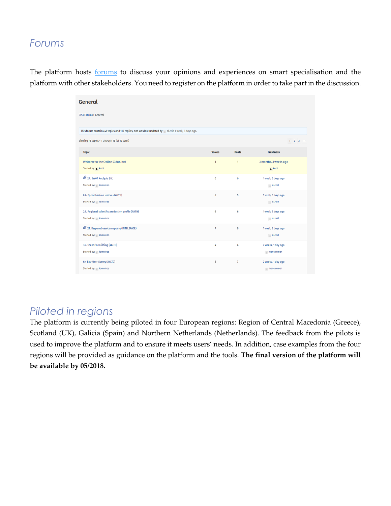#### <span id="page-4-0"></span>*Forums*

The platform hosts **forums** to discuss your opinions and experiences on smart specialisation and the platform with other stakeholders. You need to register on the platform in order to take part in the discussion.

| General                                                                                           |                |                       |                                  |
|---------------------------------------------------------------------------------------------------|----------------|-----------------------|----------------------------------|
| <b>RIS3 Forums &gt; General</b>                                                                   |                |                       |                                  |
| This forum contains 49 topics and 110 replies, and was last updated by alreid 1 week, 3 days ago. |                |                       |                                  |
| Viewing 16 topics - 1 through 15 (of 32 total)                                                    |                |                       | $1 \t2 \t3 \t\rightarrow$        |
| <b>Topic</b>                                                                                      | <b>Voices</b>  | <b>Posts</b>          | <b>Freshness</b>                 |
| Welcome to the Online S3 forums!<br>Started by: A Antti                                           | $\mathbf{1}$   | $\mathbf{1}$          | 3 months, 3 weeks ago<br>A Antti |
| 2.7. SWOT Analysis (IIL)<br>Started by: komninos                                                  | 6              | 6                     | 1 week, 3 days ago<br>a a Lreid  |
| 2.6. Specialisation indexes (AUTH)<br>Started by: komninos                                        | 5              | 5                     | 1 week, 3 days ago<br>aLreid     |
| 2.5. Regional scientific production profile (AUTH)<br>Started by: komninos                        | 6              | 6                     | 1 week, 3 days ago<br>aLreid     |
| 2.1. Regional assets mapping (INTELSPACE)<br>Started by: komninos                                 | $\overline{7}$ | 8                     | 1 week, 3 days ago<br>aLreid     |
| 3.2. Scenario Building (AALTO)<br>Started by: komninos                                            | 4              | $\mathcal{L}_\bullet$ | 2 weeks, 1 day ago<br>mona.roman |
| 6.4 End-User Survey (AALTO)<br>Started by: komninos                                               | 5              | $\overline{7}$        | 2 weeks, 1 day ago<br>mona.roman |

#### <span id="page-4-1"></span>*Piloted in regions*

The platform is currently being piloted in four European regions: Region of Central Macedonia (Greece), Scotland (UK), Galicia (Spain) and Northern Netherlands (Netherlands). The feedback from the pilots is used to improve the platform and to ensure it meets users' needs. In addition, case examples from the four regions will be provided as guidance on the platform and the tools. **The final version of the platform will be available by 05/2018.**